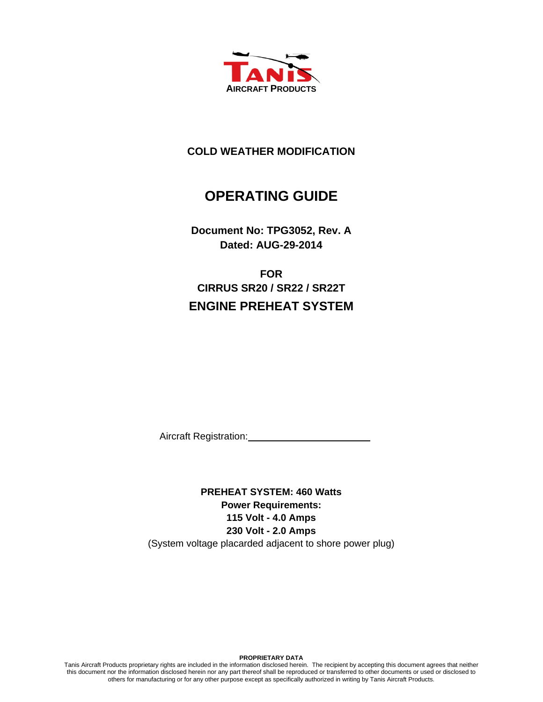

# **COLD WEATHER MODIFICATION**

# **OPERATING GUIDE**

**Document No: TPG3052, Rev. A Dated: AUG-29-2014** 

**FOR CIRRUS SR20 / SR22 / SR22T ENGINE PREHEAT SYSTEM** 

Aircraft Registration:

**PREHEAT SYSTEM: 460 Watts Power Requirements: 115 Volt - 4.0 Amps 230 Volt - 2.0 Amps**  (System voltage placarded adjacent to shore power plug)

**PROPRIETARY DATA** 

Tanis Aircraft Products proprietary rights are included in the information disclosed herein. The recipient by accepting this document agrees that neither this document nor the information disclosed herein nor any part thereof shall be reproduced or transferred to other documents or used or disclosed to others for manufacturing or for any other purpose except as specifically authorized in writing by Tanis Aircraft Products.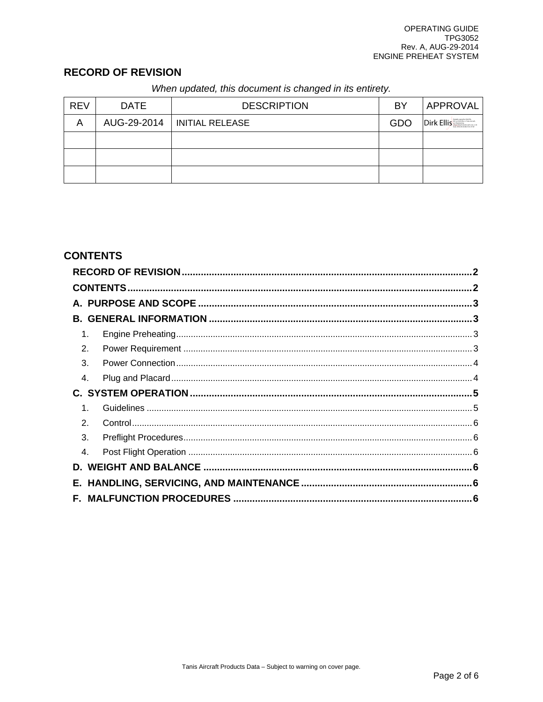# **RECORD OF REVISION**

| When updated, this document is changed in its entirety. |  |
|---------------------------------------------------------|--|
|---------------------------------------------------------|--|

| <b>REV</b> | <b>DATE</b> | <b>DESCRIPTION</b>            | BY  | APPROVAL   |
|------------|-------------|-------------------------------|-----|------------|
| А          |             | AUG-29-2014   INITIAL RELEASE | GDO | Dirk Ellis |
|            |             |                               |     |            |
|            |             |                               |     |            |
|            |             |                               |     |            |

# **CONTENTS**

|               |                | $\mathbf{c}$ |  |  |  |
|---------------|----------------|--------------|--|--|--|
|               |                |              |  |  |  |
|               |                |              |  |  |  |
|               |                |              |  |  |  |
|               | $\mathbf 1$ .  |              |  |  |  |
|               | 2.             |              |  |  |  |
|               | 3.             |              |  |  |  |
| 4.            |                |              |  |  |  |
|               |                |              |  |  |  |
|               | $\mathbf 1$    |              |  |  |  |
| $\mathcal{P}$ |                |              |  |  |  |
|               | 3.             |              |  |  |  |
|               | $\mathbf{4}$ . |              |  |  |  |
|               |                |              |  |  |  |
|               |                |              |  |  |  |
|               |                |              |  |  |  |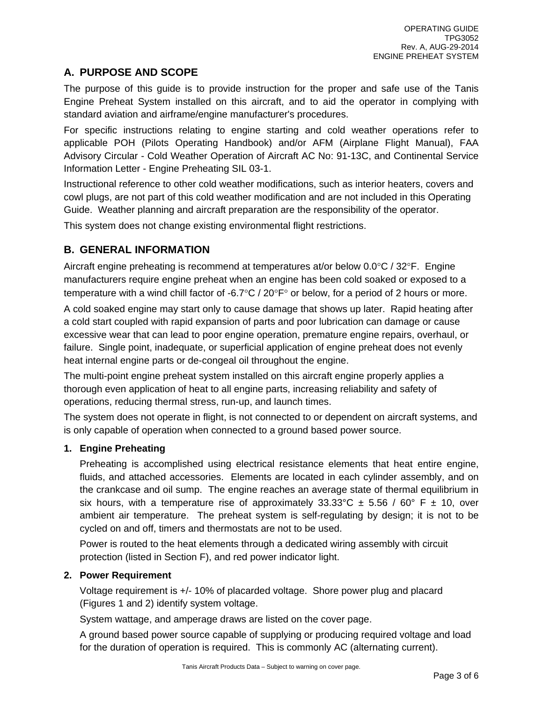# **A. PURPOSE AND SCOPE**

The purpose of this guide is to provide instruction for the proper and safe use of the Tanis Engine Preheat System installed on this aircraft, and to aid the operator in complying with standard aviation and airframe/engine manufacturer's procedures.

For specific instructions relating to engine starting and cold weather operations refer to applicable POH (Pilots Operating Handbook) and/or AFM (Airplane Flight Manual), FAA Advisory Circular - Cold Weather Operation of Aircraft AC No: 91-13C, and Continental Service Information Letter - Engine Preheating SIL 03-1.

Instructional reference to other cold weather modifications, such as interior heaters, covers and cowl plugs, are not part of this cold weather modification and are not included in this Operating Guide. Weather planning and aircraft preparation are the responsibility of the operator.

This system does not change existing environmental flight restrictions.

## **B. GENERAL INFORMATION**

Aircraft engine preheating is recommend at temperatures at/or below  $0.0\degree C$  /  $32\degree F$ . Engine manufacturers require engine preheat when an engine has been cold soaked or exposed to a temperature with a wind chill factor of -6.7 $\degree$ C / 20 $\degree$ F $\degree$  or below, for a period of 2 hours or more.

A cold soaked engine may start only to cause damage that shows up later. Rapid heating after a cold start coupled with rapid expansion of parts and poor lubrication can damage or cause excessive wear that can lead to poor engine operation, premature engine repairs, overhaul, or failure. Single point, inadequate, or superficial application of engine preheat does not evenly heat internal engine parts or de-congeal oil throughout the engine.

The multi-point engine preheat system installed on this aircraft engine properly applies a thorough even application of heat to all engine parts, increasing reliability and safety of operations, reducing thermal stress, run-up, and launch times.

The system does not operate in flight, is not connected to or dependent on aircraft systems, and is only capable of operation when connected to a ground based power source.

### **1. Engine Preheating**

Preheating is accomplished using electrical resistance elements that heat entire engine, fluids, and attached accessories. Elements are located in each cylinder assembly, and on the crankcase and oil sump. The engine reaches an average state of thermal equilibrium in six hours, with a temperature rise of approximately  $33.33^{\circ}$ C  $\pm$  5.56 / 60° F  $\pm$  10, over ambient air temperature. The preheat system is self-regulating by design; it is not to be cycled on and off, timers and thermostats are not to be used.

Power is routed to the heat elements through a dedicated wiring assembly with circuit protection (listed in Section F), and red power indicator light.

#### **2. Power Requirement**

Voltage requirement is +/- 10% of placarded voltage. Shore power plug and placard (Figures 1 and 2) identify system voltage.

System wattage, and amperage draws are listed on the cover page.

A ground based power source capable of supplying or producing required voltage and load for the duration of operation is required. This is commonly AC (alternating current).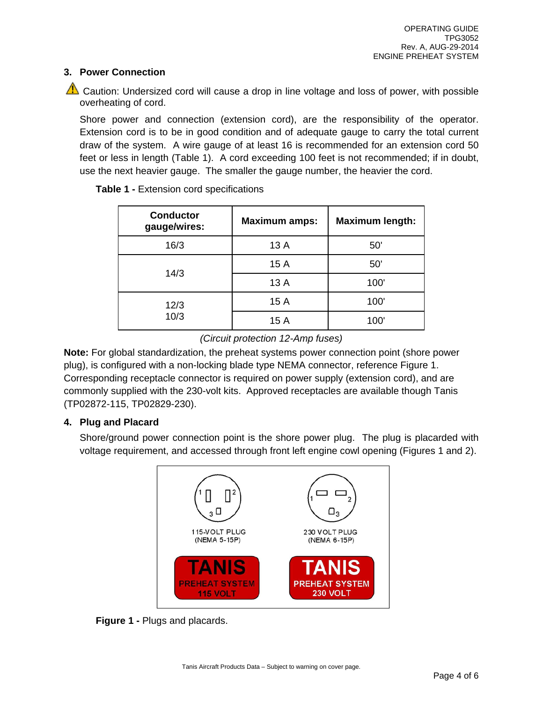#### **3. Power Connection**

 $\sqrt{\frac{1}{2}}$  Caution: Undersized cord will cause a drop in line voltage and loss of power, with possible overheating of cord.

Shore power and connection (extension cord), are the responsibility of the operator. Extension cord is to be in good condition and of adequate gauge to carry the total current draw of the system. A wire gauge of at least 16 is recommended for an extension cord 50 feet or less in length (Table 1). A cord exceeding 100 feet is not recommended; if in doubt, use the next heavier gauge. The smaller the gauge number, the heavier the cord.

| <b>Conductor</b><br>gauge/wires: | <b>Maximum amps:</b> | <b>Maximum length:</b> |
|----------------------------------|----------------------|------------------------|
| 16/3                             | 13 A                 | 50'                    |
|                                  | 15 A                 | 50'                    |
| 14/3                             | 13A                  | 100'                   |
| 12/3                             | 15 A                 | 100'                   |
| 10/3                             | 15 A                 | 100'                   |

**Table 1 -** Extension cord specifications

### *(Circuit protection 12-Amp fuses)*

**Note:** For global standardization, the preheat systems power connection point (shore power plug), is configured with a non-locking blade type NEMA connector, reference Figure 1. Corresponding receptacle connector is required on power supply (extension cord), and are commonly supplied with the 230-volt kits. Approved receptacles are available though Tanis (TP02872-115, TP02829-230).

### **4. Plug and Placard**

Shore/ground power connection point is the shore power plug. The plug is placarded with voltage requirement, and accessed through front left engine cowl opening (Figures 1 and 2).



**Figure 1 -** Plugs and placards.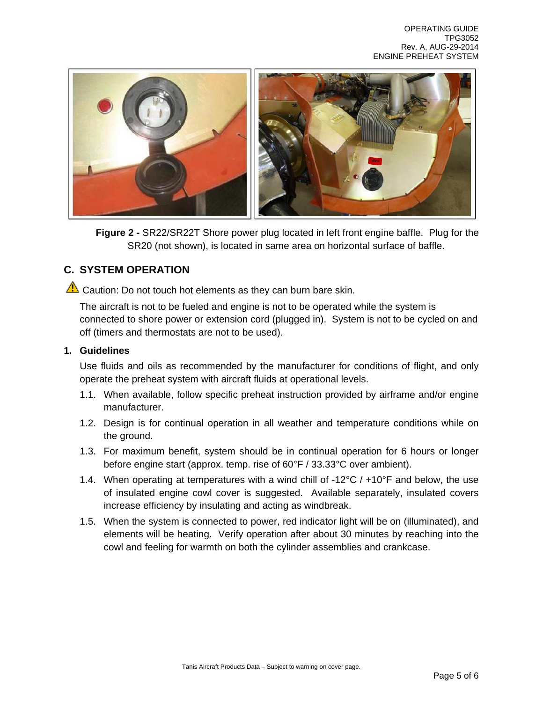

**Figure 2 -** SR22/SR22T Shore power plug located in left front engine baffle. Plug for the SR20 (not shown), is located in same area on horizontal surface of baffle.

### **C. SYSTEM OPERATION**

 $\Delta$  Caution: Do not touch hot elements as they can burn bare skin.

The aircraft is not to be fueled and engine is not to be operated while the system is connected to shore power or extension cord (plugged in). System is not to be cycled on and off (timers and thermostats are not to be used).

#### **1. Guidelines**

Use fluids and oils as recommended by the manufacturer for conditions of flight, and only operate the preheat system with aircraft fluids at operational levels.

- 1.1. When available, follow specific preheat instruction provided by airframe and/or engine manufacturer.
- 1.2. Design is for continual operation in all weather and temperature conditions while on the ground.
- 1.3. For maximum benefit, system should be in continual operation for 6 hours or longer before engine start (approx. temp. rise of 60°F / 33.33°C over ambient).
- 1.4. When operating at temperatures with a wind chill of  $-12^{\circ}C / +10^{\circ}F$  and below, the use of insulated engine cowl cover is suggested. Available separately, insulated covers increase efficiency by insulating and acting as windbreak.
- 1.5. When the system is connected to power, red indicator light will be on (illuminated), and elements will be heating. Verify operation after about 30 minutes by reaching into the cowl and feeling for warmth on both the cylinder assemblies and crankcase.